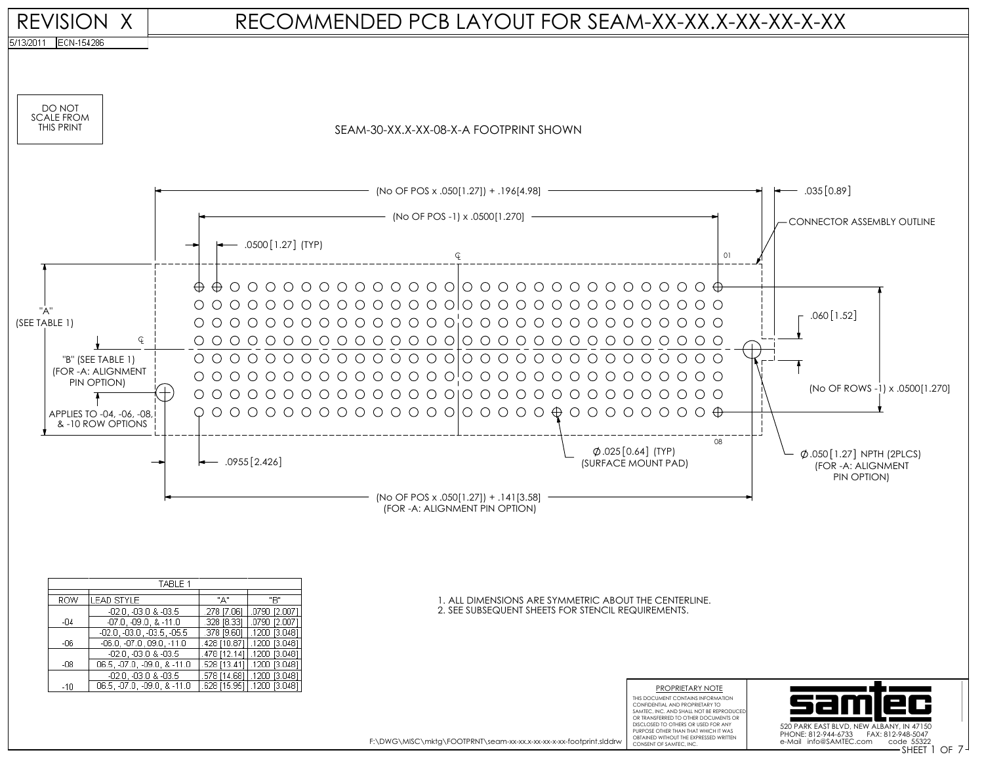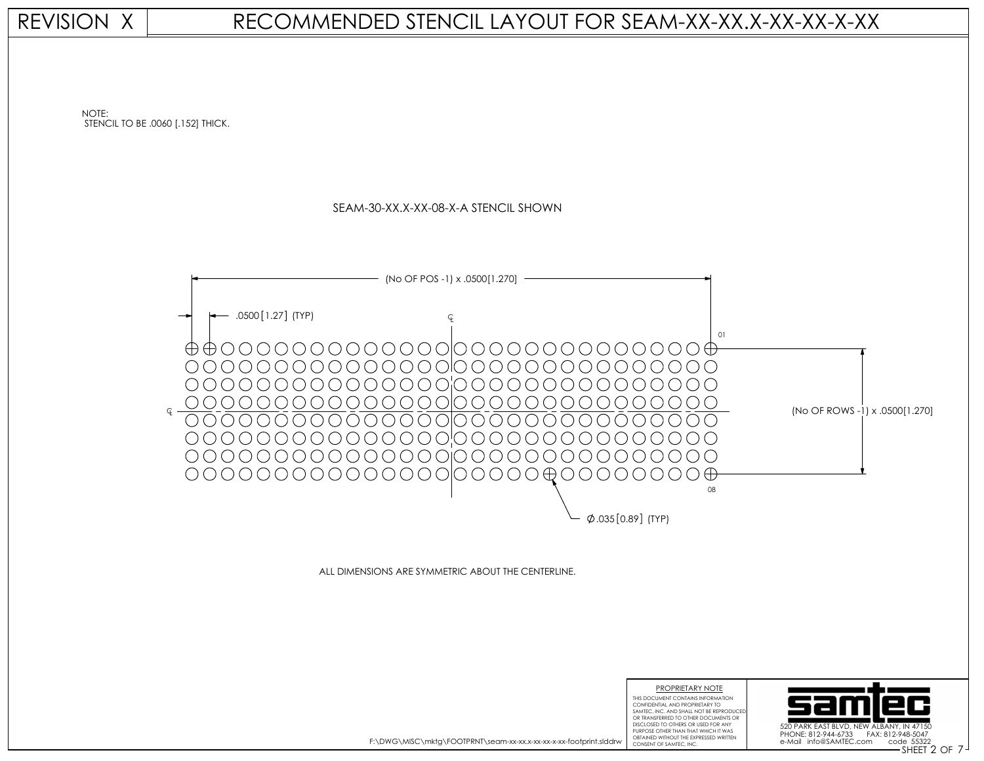REVISION X

## RECOMMENDED STENCIL LAYOUT FOR SEAM-XX-XX.X-XX-XX-X-XX



OBTAINED WITHOUT THE EXPRESSED WRITTEN<br>CONSENT OF SAMTEC, INC. F:\DWG\MISC\mktg\FOOTPRNT\seam-xx-xx.x-xx-xx-x-xx-footprint.slddrw

CONFIDENTIAL AND PROPRIETARY TO SAMTEC, INC. AND SHALL NOT BE REPRODUCE OR TRANSFERRED TO OTHER DOCUMENTS OR DISCLOSED TO OTHERS OR USED FOR ANY PURPOSE OTHER THAN THAT WHICH IT WAS

SHEET OF CONSENT OF SAMTEC, INC. 2 7 PHONE: 812-944-6733 FAX: 812-948-5047

520 PARK EAST BLVD, NEW ALBAN

e-Mail info@SAMTEC.com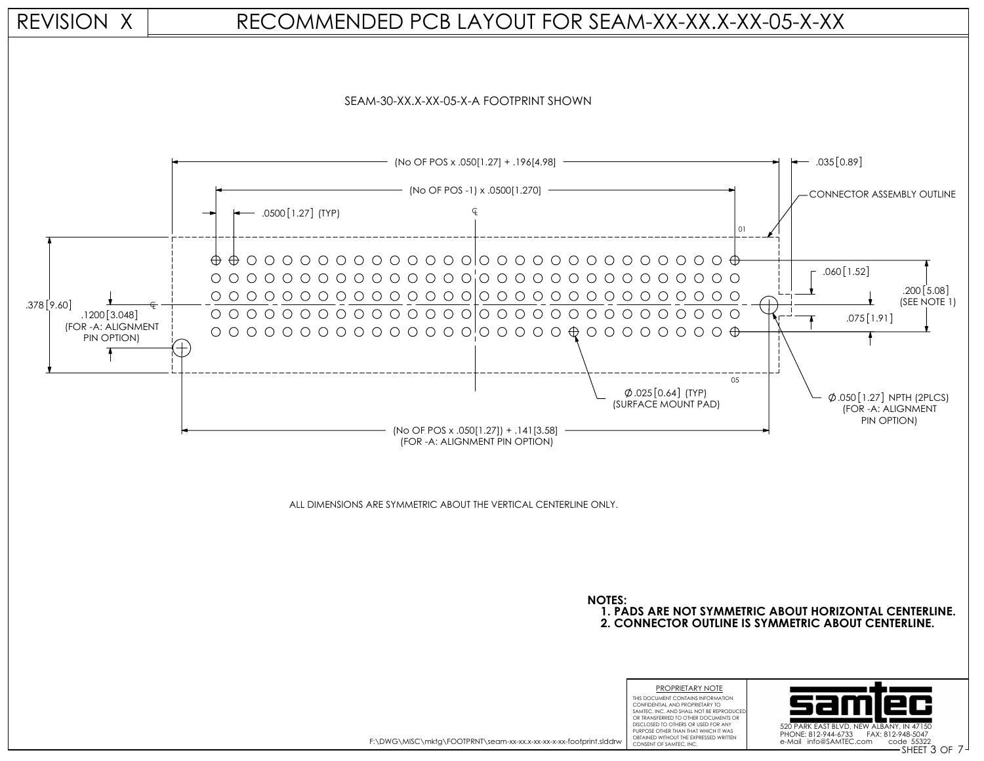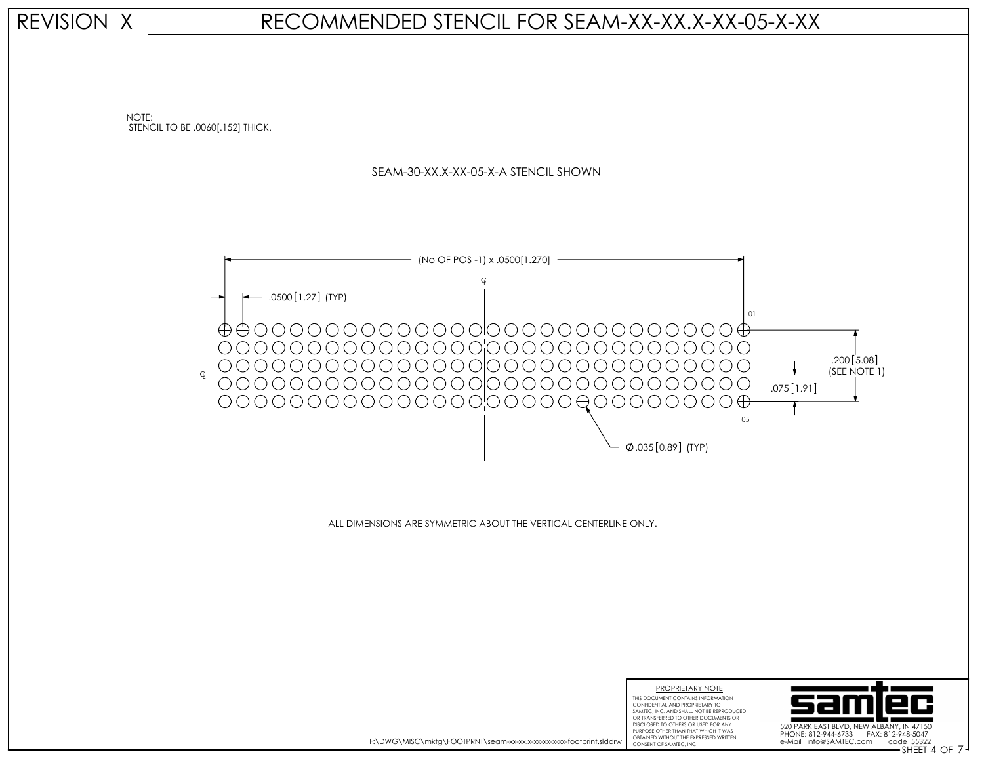## REVISION X

## RECOMMENDED STENCIL FOR SEAM-XX-XX.X-XX-05-X-XX

NOTE: STENCIL TO BE .0060[.152] THICK.





ALL DIMENSIONS ARE SYMMETRIC ABOUT THE VERTICAL CENTERLINE ONLY.



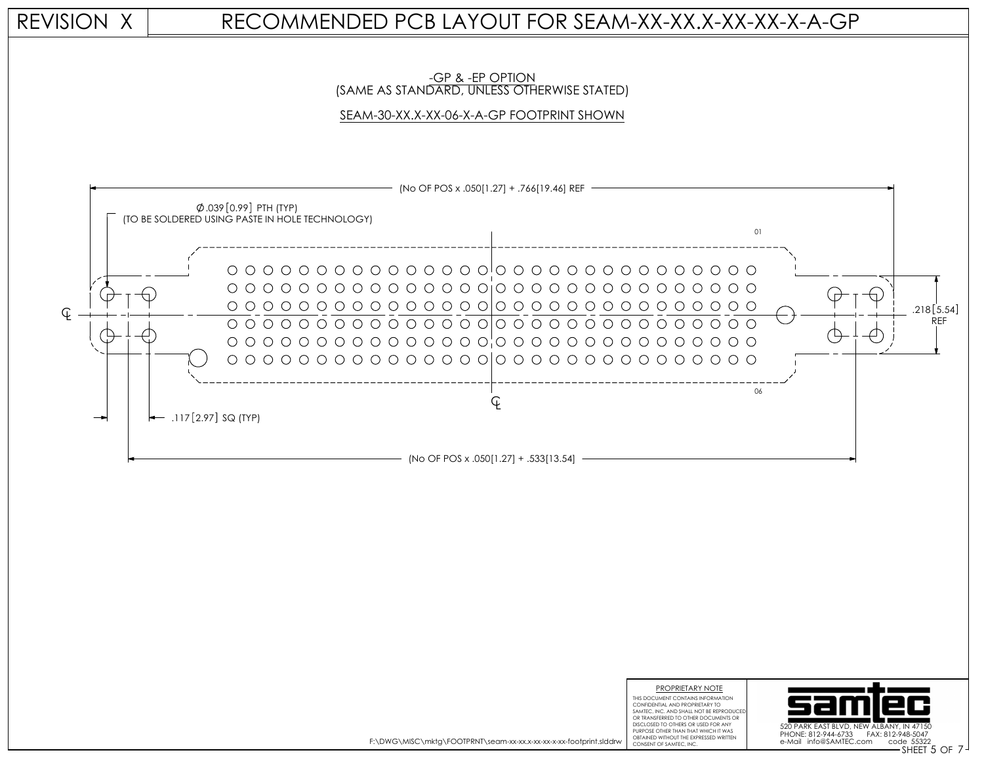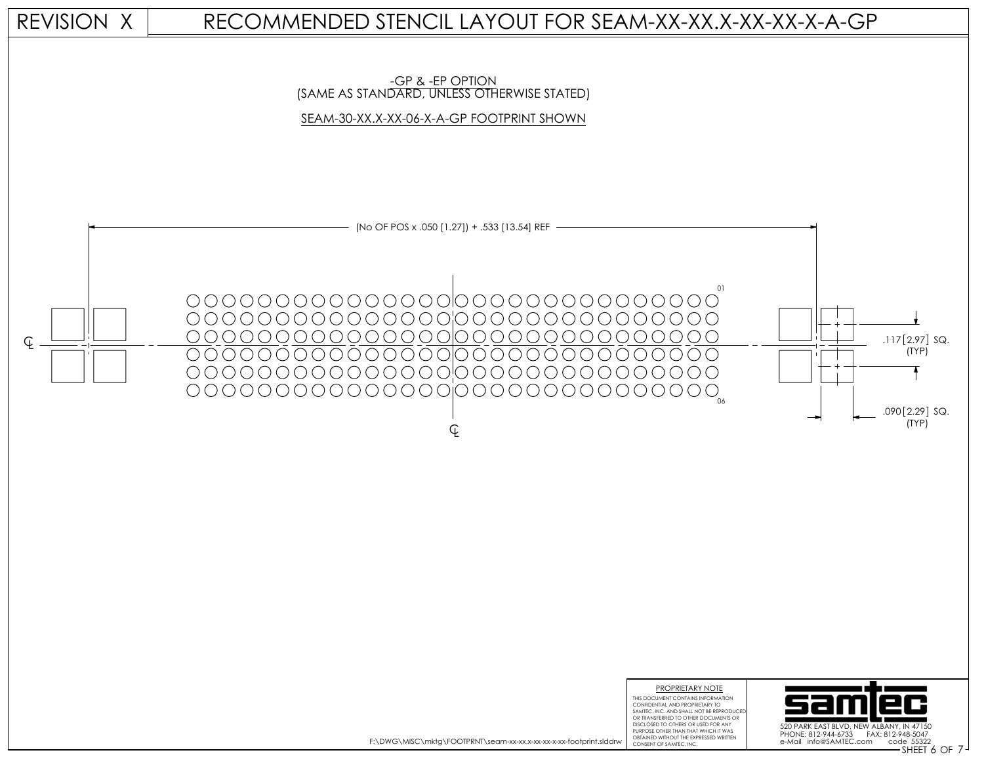